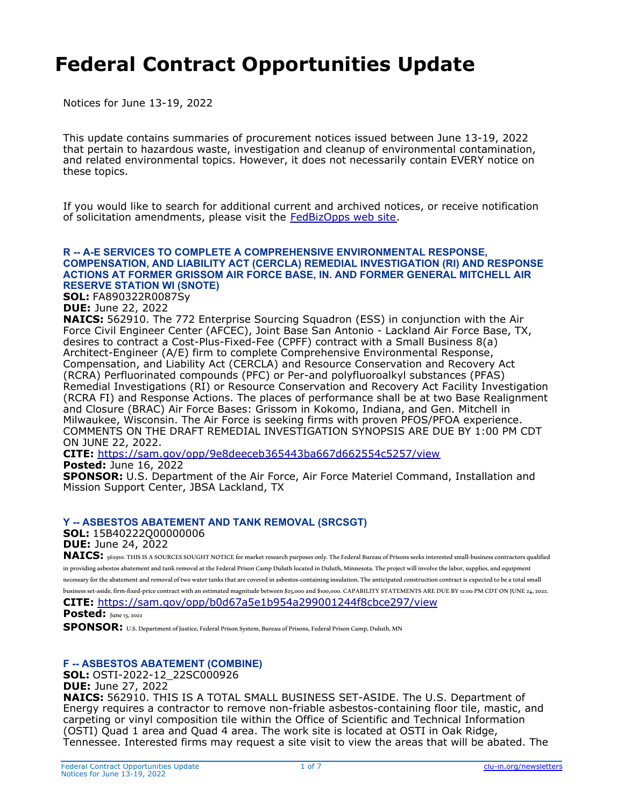# **Federal Contract Opportunities Update**

Notices for June 13-19, 2022

This update contains summaries of procurement notices issued between June 13-19, 2022 that pertain to hazardous waste, investigation and cleanup of environmental contamination, and related environmental topics. However, it does not necessarily contain EVERY notice on these topics.

If you would like to search for additional current and archived notices, or receive notification of solicitation amendments, please visit the [FedBizOpps web site](https://fbo.gov/).

#### **R -- A-E SERVICES TO COMPLETE A COMPREHENSIVE ENVIRONMENTAL RESPONSE, COMPENSATION, AND LIABILITY ACT (CERCLA) REMEDIAL INVESTIGATION (RI) AND RESPONSE ACTIONS AT FORMER GRISSOM AIR FORCE BASE, IN. AND FORMER GENERAL MITCHELL AIR RESERVE STATION WI (SNOTE)**

**SOL:** FA890322R0087Sy

**DUE:** June 22, 2022

**NAICS:** 562910. The 772 Enterprise Sourcing Squadron (ESS) in conjunction with the Air Force Civil Engineer Center (AFCEC), Joint Base San Antonio - Lackland Air Force Base, TX, desires to contract a Cost-Plus-Fixed-Fee (CPFF) contract with a Small Business 8(a) Architect-Engineer (A/E) firm to complete Comprehensive Environmental Response, Compensation, and Liability Act (CERCLA) and Resource Conservation and Recovery Act (RCRA) Perfluorinated compounds (PFC) or Per-and polyfluoroalkyl substances (PFAS) Remedial Investigations (RI) or Resource Conservation and Recovery Act Facility Investigation (RCRA FI) and Response Actions. The places of performance shall be at two Base Realignment and Closure (BRAC) Air Force Bases: Grissom in Kokomo, Indiana, and Gen. Mitchell in Milwaukee, Wisconsin. The Air Force is seeking firms with proven PFOS/PFOA experience. COMMENTS ON THE DRAFT REMEDIAL INVESTIGATION SYNOPSIS ARE DUE BY 1:00 PM CDT ON JUNE 22, 2022.

**CITE:** <https://sam.gov/opp/9e8deeceb365443ba667d662554c5257/view> **Posted:** June 16, 2022

**SPONSOR:** U.S. Department of the Air Force, Air Force Materiel Command, Installation and Mission Support Center, JBSA Lackland, TX

#### **Y -- ASBESTOS ABATEMENT AND TANK REMOVAL (SRCSGT)**

**SOL:** 15B40222Q00000006 **DUE:** June 24, 2022

NAICS: 562910. THIS IS A SOURCES SOUGHT NOTICE for market research purposes only. The Federal Bureau of Prisons seeks interested small-business contractors qualified in providing asbestos abatement and tank removal at the Federal Prison Camp Duluth located in Duluth, Minnesota. The project will involve the labor, supplies, and equipment necessary for the abatement and removal of two water tanks that are covered in asbestos‐containing insulation. The anticipated construction contract is expected to be a total small business set-aside, firm-fixed-price contract with an estimated magnitude between \$25,000 and \$100,000. CAPABILITY STATEMENTS ARE DUE BY 12:00 PM CDT ON JUNE 24, 2022. **CITE:** <https://sam.gov/opp/b0d67a5e1b954a299001244f8cbce297/view>

**Posted:** June 13, 2022

**SPONSOR:** U.S. Department of Justice, Federal Prison System, Bureau of Prisons, Federal Prison Camp, Duluth, MN

## **F -- ASBESTOS ABATEMENT (COMBINE)**

**SOL:** OSTI-2022-12\_22SC000926

**DUE:** June 27, 2022

**NAICS:** 562910. THIS IS A TOTAL SMALL BUSINESS SET-ASIDE. The U.S. Department of Energy requires a contractor to remove non-friable asbestos-containing floor tile, mastic, and carpeting or vinyl composition tile within the Office of Scientific and Technical Information (OSTI) Quad 1 area and Quad 4 area. The work site is located at OSTI in Oak Ridge, Tennessee. Interested firms may request a site visit to view the areas that will be abated. The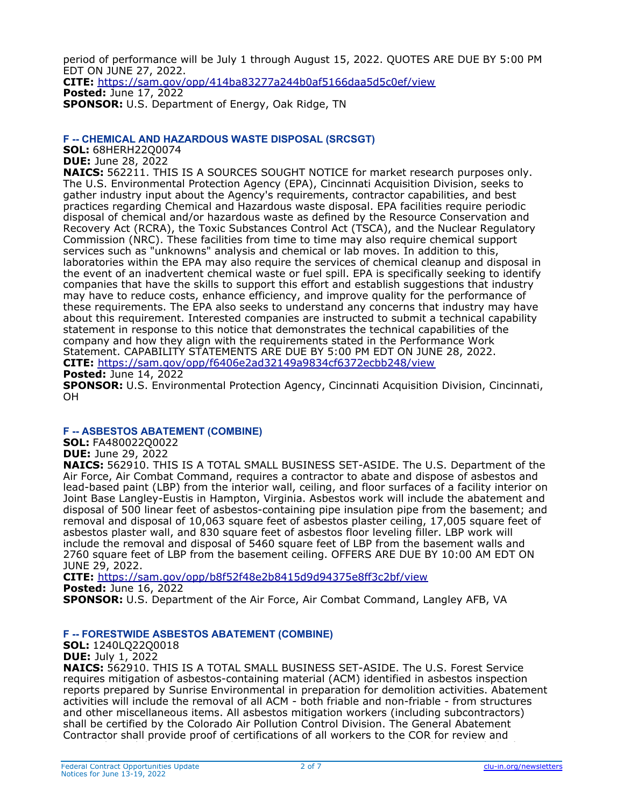period of performance will be July 1 through August 15, 2022. QUOTES ARE DUE BY 5:00 PM EDT ON JUNE 27, 2022. **CITE:** <https://sam.gov/opp/414ba83277a244b0af5166daa5d5c0ef/view> **Posted:** June 17, 2022 **SPONSOR:** U.S. Department of Energy, Oak Ridge, TN

## **F -- CHEMICAL AND HAZARDOUS WASTE DISPOSAL (SRCSGT)**

**SOL:** 68HERH22Q0074

**DUE:** June 28, 2022

**NAICS:** 562211. THIS IS A SOURCES SOUGHT NOTICE for market research purposes only. The U.S. Environmental Protection Agency (EPA), Cincinnati Acquisition Division, seeks to gather industry input about the Agency's requirements, contractor capabilities, and best practices regarding Chemical and Hazardous waste disposal. EPA facilities require periodic disposal of chemical and/or hazardous waste as defined by the Resource Conservation and Recovery Act (RCRA), the Toxic Substances Control Act (TSCA), and the Nuclear Regulatory Commission (NRC). These facilities from time to time may also require chemical support services such as "unknowns" analysis and chemical or lab moves. In addition to this, laboratories within the EPA may also require the services of chemical cleanup and disposal in the event of an inadvertent chemical waste or fuel spill. EPA is specifically seeking to identify companies that have the skills to support this effort and establish suggestions that industry may have to reduce costs, enhance efficiency, and improve quality for the performance of these requirements. The EPA also seeks to understand any concerns that industry may have about this requirement. Interested companies are instructed to submit a technical capability statement in response to this notice that demonstrates the technical capabilities of the company and how they align with the requirements stated in the Performance Work Statement. CAPABILITY STATEMENTS ARE DUE BY 5:00 PM EDT ON JUNE 28, 2022. **CITE:** <https://sam.gov/opp/f6406e2ad32149a9834cf6372ecbb248/view>

**Posted:** June 14, 2022

**SPONSOR:** U.S. Environmental Protection Agency, Cincinnati Acquisition Division, Cincinnati, OH

## **F -- ASBESTOS ABATEMENT (COMBINE)**

**SOL:** FA480022Q0022

**DUE:** June 29, 2022

**NAICS:** 562910. THIS IS A TOTAL SMALL BUSINESS SET-ASIDE. The U.S. Department of the Air Force, Air Combat Command, requires a contractor to abate and dispose of asbestos and lead-based paint (LBP) from the interior wall, ceiling, and floor surfaces of a facility interior on Joint Base Langley-Eustis in Hampton, Virginia. Asbestos work will include the abatement and disposal of 500 linear feet of asbestos-containing pipe insulation pipe from the basement; and removal and disposal of 10,063 square feet of asbestos plaster ceiling, 17,005 square feet of asbestos plaster wall, and 830 square feet of asbestos floor leveling filler. LBP work will include the removal and disposal of 5460 square feet of LBP from the basement walls and 2760 square feet of LBP from the basement ceiling. OFFERS ARE DUE BY 10:00 AM EDT ON JUNE 29, 2022.

**CITE:** <https://sam.gov/opp/b8f52f48e2b8415d9d94375e8ff3c2bf/view>

**Posted:** June 16, 2022

**SPONSOR:** U.S. Department of the Air Force, Air Combat Command, Langley AFB, VA

## **F -- FORESTWIDE ASBESTOS ABATEMENT (COMBINE)**

**SOL:** 1240LQ22Q0018 **DUE:** July 1, 2022

**NAICS:** 562910. THIS IS A TOTAL SMALL BUSINESS SET-ASIDE. The U.S. Forest Service requires mitigation of asbestos-containing material (ACM) identified in asbestos inspection reports prepared by Sunrise Environmental in preparation for demolition activities. Abatement activities will include the removal of all ACM - both friable and non-friable - from structures and other miscellaneous items. All asbestos mitigation workers (including subcontractors) shall be certified by the Colorado Air Pollution Control Division. The General Abatement Contractor shall provide proof of certifications of all workers to the COR for review and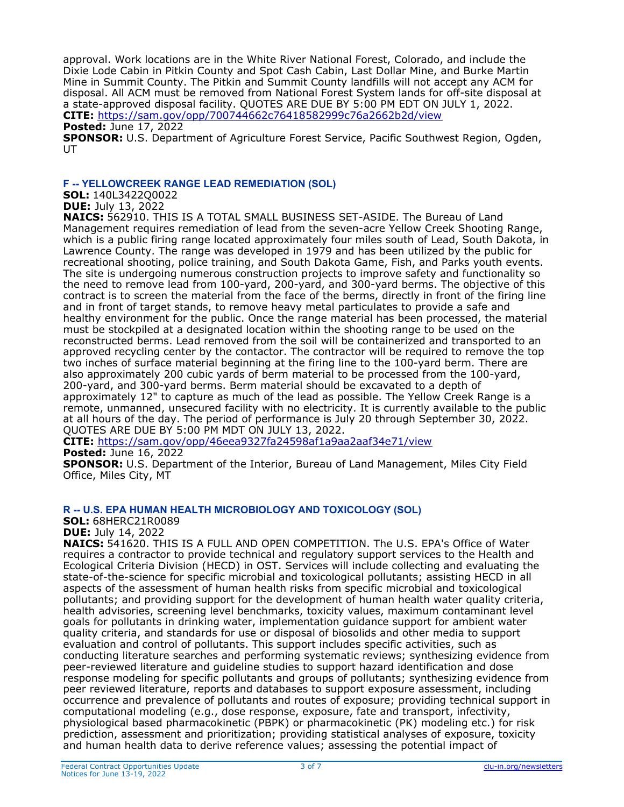approval. Work locations are in the White River National Forest, Colorado, and include the Dixie Lode Cabin in Pitkin County and Spot Cash Cabin, Last Dollar Mine, and Burke Martin Mine in Summit County. The Pitkin and Summit County landfills will not accept any ACM for disposal. All ACM must be removed from National Forest System lands for off-site disposal at a state-approved disposal facility. QUOTES ARE DUE BY 5:00 PM EDT ON JULY 1, 2022. **CITE:** <https://sam.gov/opp/700744662c76418582999c76a2662b2d/view>

**Posted:** June 17, 2022

**SPONSOR:** U.S. Department of Agriculture Forest Service, Pacific Southwest Region, Ogden, UT

#### **F -- YELLOWCREEK RANGE LEAD REMEDIATION (SOL)**

**SOL:** 140L3422Q0022 **DUE:** July 13, 2022

**NAICS:** 562910. THIS IS A TOTAL SMALL BUSINESS SET-ASIDE. The Bureau of Land Management requires remediation of lead from the seven-acre Yellow Creek Shooting Range, which is a public firing range located approximately four miles south of Lead, South Dakota, in Lawrence County. The range was developed in 1979 and has been utilized by the public for recreational shooting, police training, and South Dakota Game, Fish, and Parks youth events. The site is undergoing numerous construction projects to improve safety and functionality so the need to remove lead from 100-yard, 200-yard, and 300-yard berms. The objective of this contract is to screen the material from the face of the berms, directly in front of the firing line and in front of target stands, to remove heavy metal particulates to provide a safe and healthy environment for the public. Once the range material has been processed, the material must be stockpiled at a designated location within the shooting range to be used on the reconstructed berms. Lead removed from the soil will be containerized and transported to an approved recycling center by the contactor. The contractor will be required to remove the top two inches of surface material beginning at the firing line to the 100-yard berm. There are also approximately 200 cubic yards of berm material to be processed from the 100-yard, 200-yard, and 300-yard berms. Berm material should be excavated to a depth of approximately 12" to capture as much of the lead as possible. The Yellow Creek Range is a remote, unmanned, unsecured facility with no electricity. It is currently available to the public at all hours of the day. The period of performance is July 20 through September 30, 2022. QUOTES ARE DUE BY 5:00 PM MDT ON JULY 13, 2022.

**CITE:** <https://sam.gov/opp/46eea9327fa24598af1a9aa2aaf34e71/view>

**Posted:** June 16, 2022

**SPONSOR:** U.S. Department of the Interior, Bureau of Land Management, Miles City Field Office, Miles City, MT

## **R -- U.S. EPA HUMAN HEALTH MICROBIOLOGY AND TOXICOLOGY (SOL)**

**SOL:** 68HERC21R0089

**DUE:** July 14, 2022

**NAICS:** 541620. THIS IS A FULL AND OPEN COMPETITION. The U.S. EPA's Office of Water requires a contractor to provide technical and regulatory support services to the Health and Ecological Criteria Division (HECD) in OST. Services will include collecting and evaluating the state-of-the-science for specific microbial and toxicological pollutants; assisting HECD in all aspects of the assessment of human health risks from specific microbial and toxicological pollutants; and providing support for the development of human health water quality criteria, health advisories, screening level benchmarks, toxicity values, maximum contaminant level goals for pollutants in drinking water, implementation guidance support for ambient water quality criteria, and standards for use or disposal of biosolids and other media to support evaluation and control of pollutants. This support includes specific activities, such as conducting literature searches and performing systematic reviews; synthesizing evidence from peer-reviewed literature and guideline studies to support hazard identification and dose response modeling for specific pollutants and groups of pollutants; synthesizing evidence from peer reviewed literature, reports and databases to support exposure assessment, including occurrence and prevalence of pollutants and routes of exposure; providing technical support in computational modeling (e.g., dose response, exposure, fate and transport, infectivity, physiological based pharmacokinetic (PBPK) or pharmacokinetic (PK) modeling etc.) for risk prediction, assessment and prioritization; providing statistical analyses of exposure, toxicity and human health data to derive reference values; assessing the potential impact of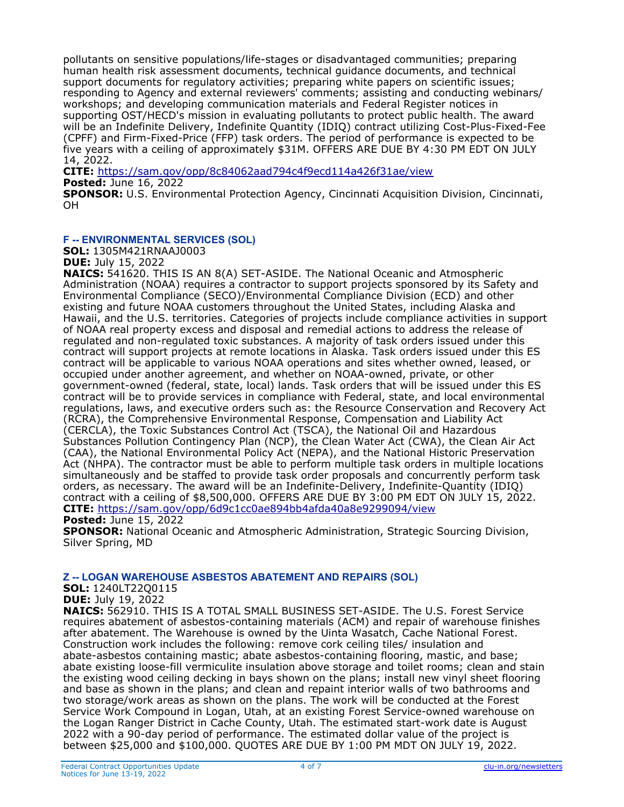pollutants on sensitive populations/life-stages or disadvantaged communities; preparing human health risk assessment documents, technical guidance documents, and technical support documents for regulatory activities; preparing white papers on scientific issues; responding to Agency and external reviewers' comments; assisting and conducting webinars/ workshops; and developing communication materials and Federal Register notices in supporting OST/HECD's mission in evaluating pollutants to protect public health. The award will be an Indefinite Delivery, Indefinite Quantity (IDIQ) contract utilizing Cost-Plus-Fixed-Fee (CPFF) and Firm-Fixed-Price (FFP) task orders. The period of performance is expected to be five years with a ceiling of approximately \$31M. OFFERS ARE DUE BY 4:30 PM EDT ON JULY 14, 2022.

**CITE:** <https://sam.gov/opp/8c84062aad794c4f9ecd114a426f31ae/view>

**Posted:** June 16, 2022

**SPONSOR:** U.S. Environmental Protection Agency, Cincinnati Acquisition Division, Cincinnati, OH

## **F -- ENVIRONMENTAL SERVICES (SOL)**

**SOL:** 1305M421RNAAJ0003

**DUE:** July 15, 2022

**NAICS:** 541620. THIS IS AN 8(A) SET-ASIDE. The National Oceanic and Atmospheric Administration (NOAA) requires a contractor to support projects sponsored by its Safety and Environmental Compliance (SECO)/Environmental Compliance Division (ECD) and other existing and future NOAA customers throughout the United States, including Alaska and Hawaii, and the U.S. territories. Categories of projects include compliance activities in support of NOAA real property excess and disposal and remedial actions to address the release of regulated and non-regulated toxic substances. A majority of task orders issued under this contract will support projects at remote locations in Alaska. Task orders issued under this ES contract will be applicable to various NOAA operations and sites whether owned, leased, or occupied under another agreement, and whether on NOAA-owned, private, or other government-owned (federal, state, local) lands. Task orders that will be issued under this ES contract will be to provide services in compliance with Federal, state, and local environmental regulations, laws, and executive orders such as: the Resource Conservation and Recovery Act (RCRA), the Comprehensive Environmental Response, Compensation and Liability Act (CERCLA), the Toxic Substances Control Act (TSCA), the National Oil and Hazardous Substances Pollution Contingency Plan (NCP), the Clean Water Act (CWA), the Clean Air Act (CAA), the National Environmental Policy Act (NEPA), and the National Historic Preservation Act (NHPA). The contractor must be able to perform multiple task orders in multiple locations simultaneously and be staffed to provide task order proposals and concurrently perform task orders, as necessary. The award will be an Indefinite-Delivery, Indefinite-Quantity (IDIQ) contract with a ceiling of \$8,500,000. OFFERS ARE DUE BY 3:00 PM EDT ON JULY 15, 2022. **CITE:** <https://sam.gov/opp/6d9c1cc0ae894bb4afda40a8e9299094/view>

**Posted:** June 15, 2022

**SPONSOR:** National Oceanic and Atmospheric Administration, Strategic Sourcing Division, Silver Spring, MD

## **Z -- LOGAN WAREHOUSE ASBESTOS ABATEMENT AND REPAIRS (SOL)**

**SOL:** 1240LT22Q0115

**DUE:** July 19, 2022

**NAICS:** 562910. THIS IS A TOTAL SMALL BUSINESS SET-ASIDE. The U.S. Forest Service requires abatement of asbestos-containing materials (ACM) and repair of warehouse finishes after abatement. The Warehouse is owned by the Uinta Wasatch, Cache National Forest. Construction work includes the following: remove cork ceiling tiles/ insulation and abate-asbestos containing mastic; abate asbestos-containing flooring, mastic, and base; abate existing loose-fill vermiculite insulation above storage and toilet rooms; clean and stain the existing wood ceiling decking in bays shown on the plans; install new vinyl sheet flooring and base as shown in the plans; and clean and repaint interior walls of two bathrooms and two storage/work areas as shown on the plans. The work will be conducted at the Forest Service Work Compound in Logan, Utah, at an existing Forest Service-owned warehouse on the Logan Ranger District in Cache County, Utah. The estimated start-work date is August 2022 with a 90-day period of performance. The estimated dollar value of the project is betwe[en \\$25,000 and \\$100,000. QUOTES ARE DUE BY 1:00 PM MDT ON](https://sam.gov/opp/0992cc982756445b94f4c60fd2183ca7/view) JULY 19, 2022.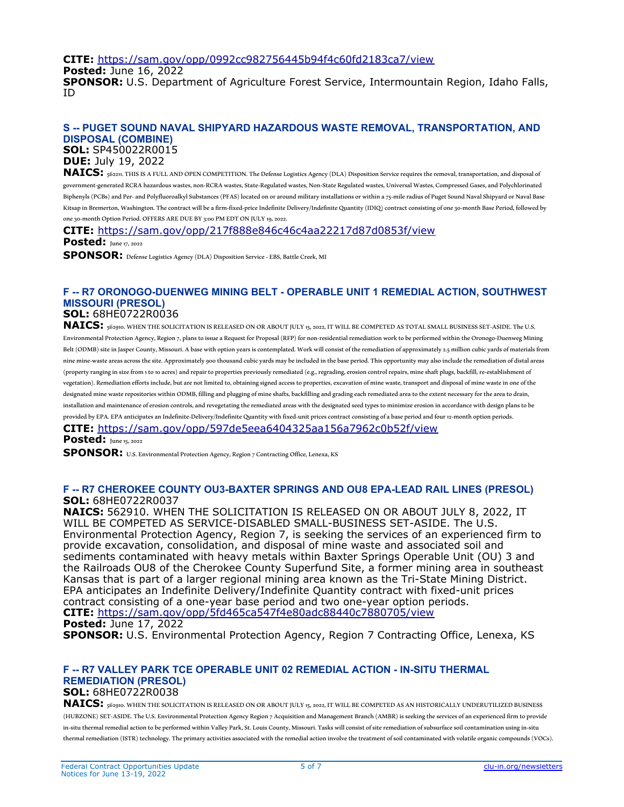**CITE:** <https://sam.gov/opp/0992cc982756445b94f4c60fd2183ca7/view>

**Posted:** June 16, 2022

**SPONSOR:** U.S. Department of Agriculture Forest Service, Intermountain Region, Idaho Falls, ID

## **S -- PUGET SOUND NAVAL SHIPYARD HAZARDOUS WASTE REMOVAL, TRANSPORTATION, AND DISPOSAL (COMBINE)**

**SOL:** SP450022R0015

# **DUE:** July 19, 2022

**NAICS:** 562211. THIS IS A FULL AND OPEN COMPETITION. The Defense Logistics Agency (DLA) Disposition Service requires the removal, transportation, and disposal of government‐generated RCRA hazardous wastes, non‐RCRA wastes, State‐Regulated wastes, Non‐State Regulated wastes, Universal Wastes, Compressed Gases, and Polychlorinated Biphenyls (PCBs) and Per‐ and Polyfluoroalkyl Substances (PFAS) located on or around military installations or within a 75‐mile radius of Puget Sound Naval Shipyard or Naval Base Kitsap in Bremerton, Washington. The contract will be a firm-fixed-price Indefinite Delivery/Indefinite Quantity (IDIQ) contract consisting of one 30‐month Base Period, followed by one 30‐month Option Period. OFFERS ARE DUE BY 3:00 PM EDT ON JULY 19, 2022.

**CITE:** <https://sam.gov/opp/217f888e846c46c4aa22217d87d0853f/view>

**Posted:** June 17, 2022

**SPONSOR:** Defense Logistics Agency (DLA) Disposition Service ‐ EBS, Battle Creek, MI

# **F -- R7 ORONOGO-DUENWEG MINING BELT - OPERABLE UNIT 1 REMEDIAL ACTION, SOUTHWEST MISSOURI (PRESOL)**

## **SOL:** 68HE0722R0036

NAICS: **562910. WHEN THE SOLICITATION IS RELEASED ON OR ABOUT JULY 15, 2022, IT WILL BE COMPETED AS TOTAL SMALL BUSINESS SET-ASIDE. The U.S.** Environmental Protection Agency, Region 7, plans to issue a Request for Proposal (RFP) for non-residential remediation work to be performed within the Oronogo‐Duenweg Mining Belt (ODMB) site in Jasper County, Missouri. A base with option years is contemplated. Work will consist of the remediation of approximately 2.5 million cubic yards of materials from nine mine-waste areas across the site. Approximately 900 thousand cubic yards may be included in the base period. This opportunity may also include the remediation of distal areas (property ranging in size from 1 to 10 acres) and repair to properties previously remediated (e.g., regrading, erosion control repairs, mine shaft plugs, backfill, re‐establishment of vegetation). Remediation efforts include, but are not limited to, obtaining signed access to properties, excavation of mine waste, transport and disposal of mine waste in one of the designated mine waste repositories within ODMB, filling and plugging of mine shafts, backfilling and grading each remediated area to the extent necessary for the area to drain, installation and maintenance of erosion controls, and revegetating the remediated areas with the designated seed types to minimize erosion in accordance with design plans to be provided by EPA. EPA anticipates an Indefinite-Delivery/Indefinite Quantity with fixed-unit prices contract consisting of a base period and four 12-month option periods.

**CITE:** <https://sam.gov/opp/597de5eea6404325aa156a7962c0b52f/view>

**Posted:** June 15, 2022

SPONSOR: U.S. Environmental Protection Agency, Region 7 Contracting Office, Lenexa, KS

#### **F -- R7 CHEROKEE COUNTY OU3-BAXTER SPRINGS AND OU8 EPA-LEAD RAIL LINES (PRESOL) SOL:** 68HE0722R0037

**NAICS:** 562910. WHEN THE SOLICITATION IS RELEASED ON OR ABOUT JULY 8, 2022, IT WILL BE COMPETED AS SERVICE-DISABLED SMALL-BUSINESS SET-ASIDE. The U.S. Environmental Protection Agency, Region 7, is seeking the services of an experienced firm to provide excavation, consolidation, and disposal of mine waste and associated soil and sediments contaminated with heavy metals within Baxter Springs Operable Unit (OU) 3 and the Railroads OU8 of the Cherokee County Superfund Site, a former mining area in southeast Kansas that is part of a larger regional mining area known as the Tri-State Mining District. EPA anticipates an Indefinite Delivery/Indefinite Quantity contract with fixed-unit prices contract consisting of a one-year base period and two one-year option periods. **CITE:** <https://sam.gov/opp/5fd465ca547f4e80adc88440c7880705/view> **Posted:** June 17, 2022

**SPONSOR:** U.S. Environmental Protection Agency, Region 7 Contracting Office, Lenexa, KS

#### **F -- R7 VALLEY PARK TCE OPERABLE UNIT 02 REMEDIAL ACTION - IN-SITU THERMAL REMEDIATION (PRESOL) SOL:** 68HE0722R0038

**NAICS:** 562910. WHEN THE SOLICITATION IS RELEASED ON OR ABOUT JULY 15, 2022, IT WILL BE COMPETED AS AN HISTORICALLY UNDERUTILIZED BUSINESS (HUBZONE) SET‐ASIDE. The U.S. Environmental Protection Agency Region 7 Acquisition and Management Branch (AMBR) is seeking the services of an experienced firm to provide in‐situ thermal remedial action to be performed within Valley Park, St. Louis County, Missouri. Tasks will consist of site remediation of subsurface soil contamination using in‐situ thermal remediation (ISTR) technology. The primary activities associated with the remedial action involve the treatment of soil contaminated with volatile organic compounds (VOCs).